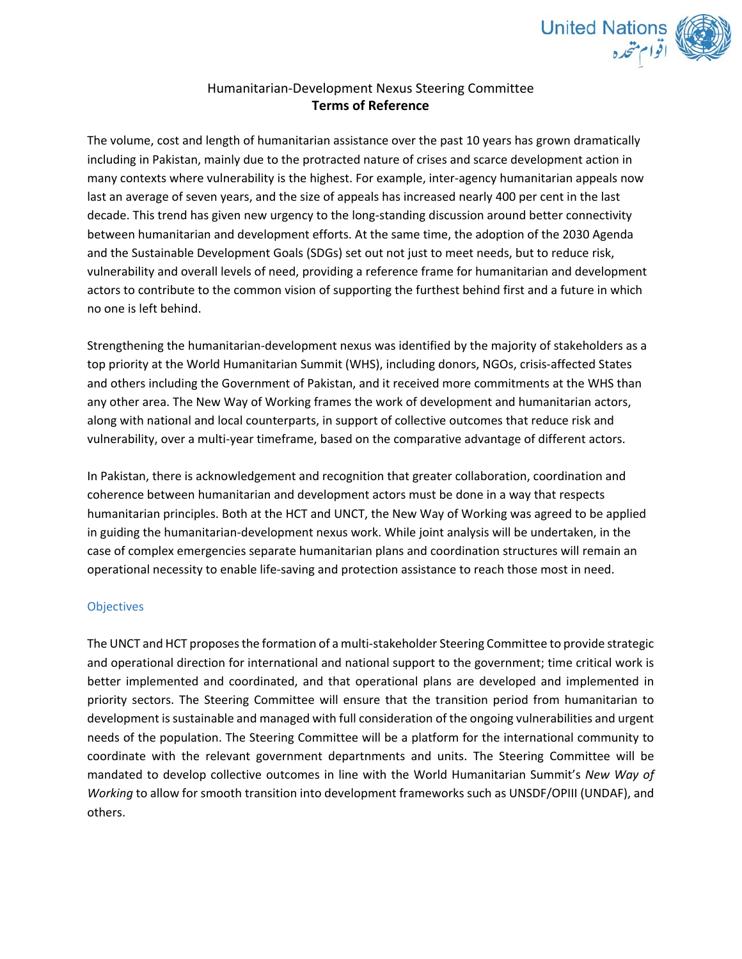

## Humanitarian‐Development Nexus Steering Committee **Terms of Reference**

The volume, cost and length of humanitarian assistance over the past 10 years has grown dramatically including in Pakistan, mainly due to the protracted nature of crises and scarce development action in many contexts where vulnerability is the highest. For example, inter-agency humanitarian appeals now last an average of seven years, and the size of appeals has increased nearly 400 per cent in the last decade. This trend has given new urgency to the long-standing discussion around better connectivity between humanitarian and development efforts. At the same time, the adoption of the 2030 Agenda and the Sustainable Development Goals (SDGs) set out not just to meet needs, but to reduce risk, vulnerability and overall levels of need, providing a reference frame for humanitarian and development actors to contribute to the common vision of supporting the furthest behind first and a future in which no one is left behind.

Strengthening the humanitarian‐development nexus was identified by the majority of stakeholders as a top priority at the World Humanitarian Summit (WHS), including donors, NGOs, crisis-affected States and others including the Government of Pakistan, and it received more commitments at the WHS than any other area. The New Way of Working frames the work of development and humanitarian actors, along with national and local counterparts, in support of collective outcomes that reduce risk and vulnerability, over a multi-year timeframe, based on the comparative advantage of different actors.

In Pakistan, there is acknowledgement and recognition that greater collaboration, coordination and coherence between humanitarian and development actors must be done in a way that respects humanitarian principles. Both at the HCT and UNCT, the New Way of Working was agreed to be applied in guiding the humanitarian‐development nexus work. While joint analysis will be undertaken, in the case of complex emergencies separate humanitarian plans and coordination structures will remain an operational necessity to enable life‐saving and protection assistance to reach those most in need.

## **Objectives**

The UNCT and HCT proposes the formation of a multi‐stakeholder Steering Committee to provide strategic and operational direction for international and national support to the government; time critical work is better implemented and coordinated, and that operational plans are developed and implemented in priority sectors. The Steering Committee will ensure that the transition period from humanitarian to development is sustainable and managed with full consideration of the ongoing vulnerabilities and urgent needs of the population. The Steering Committee will be a platform for the international community to coordinate with the relevant government departnments and units. The Steering Committee will be mandated to develop collective outcomes in line with the World Humanitarian Summit's *New Way of Working* to allow for smooth transition into development frameworks such as UNSDF/OPIII (UNDAF), and others.